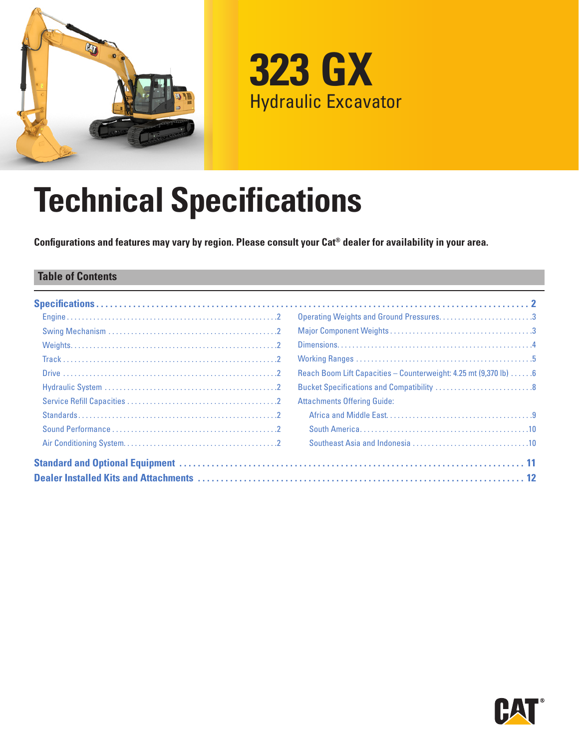

**323 GX** Hydraulic Excavator

# **Technical Specifications**

**Configurations and features may vary by region. Please consult your Cat® dealer for availability in your area.**

# **Table of Contents**

| Operating Weights and Ground Pressures3                           |
|-------------------------------------------------------------------|
|                                                                   |
|                                                                   |
|                                                                   |
| Reach Boom Lift Capacities - Counterweight: 4.25 mt (9,370 lb)  6 |
|                                                                   |
| <b>Attachments Offering Guide:</b>                                |
|                                                                   |
|                                                                   |
|                                                                   |
|                                                                   |
|                                                                   |

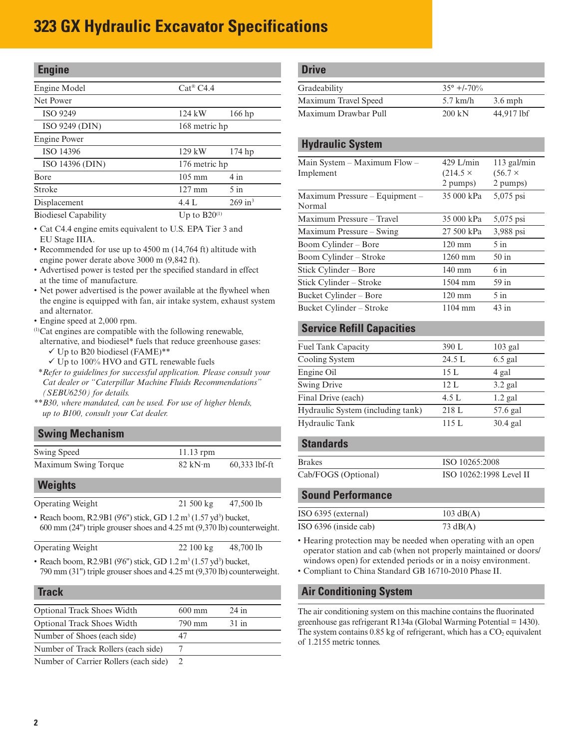# <span id="page-1-0"></span>**323 GX Hydraulic Excavator Specifications**

| <b>Engine</b>               |                      |                       |
|-----------------------------|----------------------|-----------------------|
| Engine Model                | $Cat^{\otimes}$ C4.4 |                       |
| Net Power                   |                      |                       |
| <b>ISO 9249</b>             | 124 kW               | 166 hp                |
| ISO 9249 (DIN)              | 168 metric hp        |                       |
| Engine Power                |                      |                       |
| ISO 14396                   | 129 kW               | $174$ hp              |
| ISO 14396 (DIN)             | 176 metric hp        |                       |
| <b>B</b> ore                | $105 \text{ mm}$     | 4 in                  |
| Stroke                      | $127 \text{ mm}$     | $5$ in                |
| Displacement                | 4.4 L                | $269$ in <sup>3</sup> |
| <b>Biodiesel Capability</b> | Up to $B20^{(1)}$    |                       |

• Cat C4.4 engine emits equivalent to U.S. EPA Tier 3 and EU Stage IIIA.

• Recommended for use up to 4500 m (14,764 ft) altitude with engine power derate above 3000 m (9,842 ft).

- Advertised power is tested per the specified standard in effect at the time of manufacture.
- Net power advertised is the power available at the flywheel when the engine is equipped with fan, air intake system, exhaust system and alternator.
- Engine speed at 2,000 rpm.
- (1)Cat engines are compatible with the following renewable, alternative, and biodiesel\* fuels that reduce greenhouse gases:
- $\checkmark$  Up to B20 biodiesel (FAME)\*\*
- $\checkmark$  Up to 100% HVO and GTL renewable fuels *\*\*Refer to guidelines for successful application. Please consult your Cat dealer or "Caterpillar Machine Fluids Recommendations" (SEBU6250) for details.*
- *\*\*B30, where mandated, can be used. For use of higher blends, up to B100, consult your Cat dealer.*

## **Swing Mechanism** Swing Speed 11.13 rpm Maximum Swing Torque 82 kN·m 60,333 lbf-ft

| <b>Weights</b> |  |  |  |  |
|----------------|--|--|--|--|
|----------------|--|--|--|--|

| <b>Operating Weight</b> | $21\,500\,\mathrm{kg}$ | 47,500 lb |
|-------------------------|------------------------|-----------|

• Reach boom, R2.9B1 (9'6") stick, GD  $1.2 \text{ m}^3 (1.57 \text{ yd}^3)$  bucket, 600 mm (24") triple grouser shoes and 4.25 mt (9,370 lb) counterweight.

```
Operating Weight 22 100 kg 48,700 lb
```
• Reach boom, R2.9B1 (9'6") stick, GD  $1.2 \text{ m}^3 (1.57 \text{ yd}^3)$  bucket, 790 mm (31") triple grouser shoes and 4.25 mt (9,370 lb) counterweight.

#### **Track**

| <b>Optional Track Shoes Width</b>                                                                                 | $600 \text{ mm}$ | $24$ in |
|-------------------------------------------------------------------------------------------------------------------|------------------|---------|
| <b>Optional Track Shoes Width</b>                                                                                 | 790 mm           | $31$ in |
| Number of Shoes (each side)                                                                                       |                  |         |
| Number of Track Rollers (each side)                                                                               |                  |         |
| $\mathbf{M}$ and $\mathbf{L}$ are $\mathbf{C}$ and $\mathbf{D}$ at $\mathbf{D}$ and $\mathbf{L}$ and $\mathbf{L}$ |                  |         |

Number of Carrier Rollers (each side) 2

| <b>Drive</b>         |                     |            |
|----------------------|---------------------|------------|
| Gradeability         | $35^{\circ}$ +/-70% |            |
| Maximum Travel Speed | $5.7$ km/h          | $3.6$ mph  |
| Maximum Drawbar Pull | $200 \text{ kN}$    | 44,917 lbf |

#### **Hydraulic System**

| $429$ L/min       | $113$ gal/min  |
|-------------------|----------------|
| $(214.5 \times$   | $(56.7 \times$ |
| 2 pumps)          | 2 pumps)       |
| 35 000 kPa        | 5,075 psi      |
| 35 000 kPa        | 5,075 psi      |
| 27 500 kPa        | 3,988 psi      |
| $120 \text{ mm}$  | $5$ in         |
| 1260 mm           | $50$ in        |
| $140 \text{ mm}$  | $6 \infty$     |
| $1504$ mm         | $59$ in        |
| $120 \text{ mm}$  | $5$ in         |
| $1104 \text{ mm}$ | $43$ in        |
|                   |                |

## **Service Refill Capacities**

| Fuel Tank Capacity                | 390 L  | $103$ gal  |
|-----------------------------------|--------|------------|
| Cooling System                    | 24.5 L | $6.5$ gal  |
| Engine Oil                        | 15L    | 4 gal      |
| <b>Swing Drive</b>                | 12.1.  | $3.2$ gal  |
| Final Drive (each)                | 4.5 L  | $1.2$ gal  |
| Hydraulic System (including tank) | 218 L  | 57.6 gal   |
| Hydraulic Tank                    | 115L   | $30.4$ gal |
|                                   |        |            |

#### **Standards**

| <b>Brakes</b>       | ISO 10265:2008          |
|---------------------|-------------------------|
| Cab/FOGS (Optional) | ISO 10262:1998 Level II |

#### **Sound Performance**

| ISO 6395 (external)   | $103 \text{ dB}(A)$ |
|-----------------------|---------------------|
| ISO 6396 (inside cab) | 73 $dB(A)$          |

• Hearing protection may be needed when operating with an open operator station and cab (when not properly maintained or doors/ windows open) for extended periods or in a noisy environment.

• Compliant to China Standard GB 16710-2010 Phase II.

#### **Air Conditioning System**

The air conditioning system on this machine contains the fluorinated greenhouse gas refrigerant R134a (Global Warming Potential = 1430). The system contains  $0.85$  kg of refrigerant, which has a  $CO<sub>2</sub>$  equivalent of 1.2155 metric tonnes.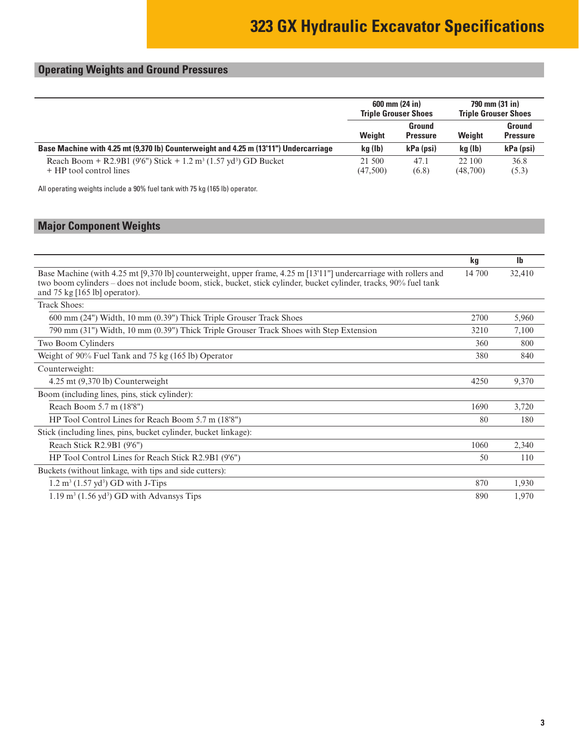# <span id="page-2-0"></span>**Operating Weights and Ground Pressures**

|                                                                                                                    | $600 \text{ mm} (24 \text{ in})$<br><b>Triple Grouser Shoes</b> |                           | 790 mm (31 in)<br><b>Triple Grouser Shoes</b> |                           |
|--------------------------------------------------------------------------------------------------------------------|-----------------------------------------------------------------|---------------------------|-----------------------------------------------|---------------------------|
|                                                                                                                    | Weight                                                          | Ground<br><b>Pressure</b> | Weight                                        | Ground<br><b>Pressure</b> |
| Base Machine with 4.25 mt (9,370 lb) Counterweight and 4.25 m (13'11") Undercarriage                               | kg (lb)                                                         | kPa (psi)                 | kg (lb)                                       | kPa (psi)                 |
| Reach Boom + R2.9B1 (9'6") Stick + 1.2 m <sup>3</sup> (1.57 yd <sup>3</sup> ) GD Bucket<br>+ HP tool control lines | 21 500<br>(47,500)                                              | 47.1<br>(6.8)             | 22 100<br>(48,700)                            | 36.8<br>(5.3)             |

All operating weights include a 90% fuel tank with 75 kg (165 lb) operator.

# **Major Component Weights**

|                                                                                                                                                                                                                                                                                  | kg     | Ib     |
|----------------------------------------------------------------------------------------------------------------------------------------------------------------------------------------------------------------------------------------------------------------------------------|--------|--------|
| Base Machine (with 4.25 mt [9,370 lb] counterweight, upper frame, 4.25 m [13'11"] undercarriage with rollers and<br>two boom cylinders – does not include boom, stick, bucket, stick cylinder, bucket cylinder, tracks, 90% fuel tank<br>and $75 \text{ kg}$ [165 lb] operator). | 14 700 | 32,410 |
| <b>Track Shoes:</b>                                                                                                                                                                                                                                                              |        |        |
| 600 mm (24") Width, 10 mm (0.39") Thick Triple Grouser Track Shoes                                                                                                                                                                                                               | 2700   | 5,960  |
| 790 mm (31") Width, 10 mm (0.39") Thick Triple Grouser Track Shoes with Step Extension                                                                                                                                                                                           | 3210   | 7,100  |
| Two Boom Cylinders                                                                                                                                                                                                                                                               | 360    | 800    |
| Weight of 90% Fuel Tank and 75 kg (165 lb) Operator                                                                                                                                                                                                                              | 380    | 840    |
| Counterweight:                                                                                                                                                                                                                                                                   |        |        |
| $4.25$ mt $(9,370$ lb) Counterweight                                                                                                                                                                                                                                             | 4250   | 9,370  |
| Boom (including lines, pins, stick cylinder):                                                                                                                                                                                                                                    |        |        |
| Reach Boom 5.7 m (18'8")                                                                                                                                                                                                                                                         | 1690   | 3,720  |
| HP Tool Control Lines for Reach Boom 5.7 m (18'8")                                                                                                                                                                                                                               | 80     | 180    |
| Stick (including lines, pins, bucket cylinder, bucket linkage):                                                                                                                                                                                                                  |        |        |
| Reach Stick R2.9B1 (9'6")                                                                                                                                                                                                                                                        | 1060   | 2,340  |
| HP Tool Control Lines for Reach Stick R2.9B1 (9'6")                                                                                                                                                                                                                              | 50     | 110    |
| Buckets (without linkage, with tips and side cutters):                                                                                                                                                                                                                           |        |        |
| $1.2 \text{ m}^3$ (1.57 yd <sup>3</sup> ) GD with J-Tips                                                                                                                                                                                                                         | 870    | 1,930  |
| $1.19 \text{ m}^3$ (1.56 yd <sup>3</sup> ) GD with Advansys Tips                                                                                                                                                                                                                 | 890    | 1,970  |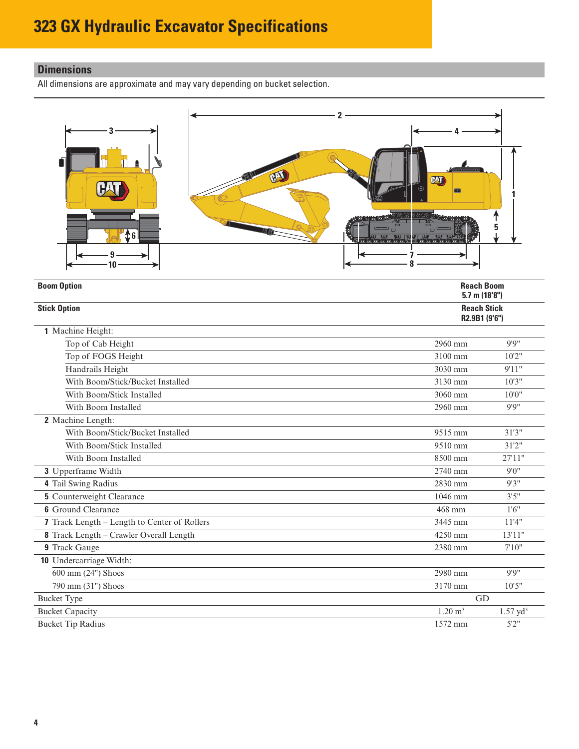# <span id="page-3-0"></span>**Dimensions**

All dimensions are approximate and may vary depending on bucket selection.



| <b>Boom Option</b>                           | <b>Reach Boom</b><br>5.7 m $(18'8'')$ |                     |
|----------------------------------------------|---------------------------------------|---------------------|
| <b>Stick Option</b>                          | <b>Reach Stick</b><br>R2.9B1 (9'6")   |                     |
| 1 Machine Height:                            |                                       |                     |
| Top of Cab Height                            | 2960 mm                               | 9'9''               |
| Top of FOGS Height                           | 3100 mm                               | 10'2"               |
| Handrails Height                             | 3030 mm                               | 9'11"               |
| With Boom/Stick/Bucket Installed             | 3130 mm                               | 10'3''              |
| With Boom/Stick Installed                    | 3060 mm                               | 10'0''              |
| With Boom Installed                          | 2960 mm                               | 9'9''               |
| 2 Machine Length:                            |                                       |                     |
| With Boom/Stick/Bucket Installed             | 9515 mm                               | 31'3''              |
| With Boom/Stick Installed                    | 9510 mm                               | 31'2''              |
| With Boom Installed                          | 8500 mm                               | 27'11"              |
| 3 Upperframe Width                           | 2740 mm                               | 9'0''               |
| 4 Tail Swing Radius                          | 2830 mm                               | 9'3''               |
| <b>5</b> Counterweight Clearance             | 1046 mm                               | 3'5''               |
| <b>6</b> Ground Clearance                    | 468 mm                                | 1'6''               |
| 7 Track Length – Length to Center of Rollers | 3445 mm                               | 11'4"               |
| 8 Track Length - Crawler Overall Length      | 4250 mm                               | 13'11"              |
| 9 Track Gauge                                | 2380 mm                               | 7'10''              |
| 10 Undercarriage Width:                      |                                       |                     |
| 600 mm (24") Shoes                           | 2980 mm                               | 9'9''               |
| 790 mm (31") Shoes                           | 3170 mm                               | 10'5''              |
| <b>Bucket Type</b>                           | GD                                    |                     |
| <b>Bucket Capacity</b>                       | $1.20 \text{ m}^3$                    | $1.57 \text{ yd}^3$ |
| <b>Bucket Tip Radius</b>                     | 1572 mm                               | 5'2''               |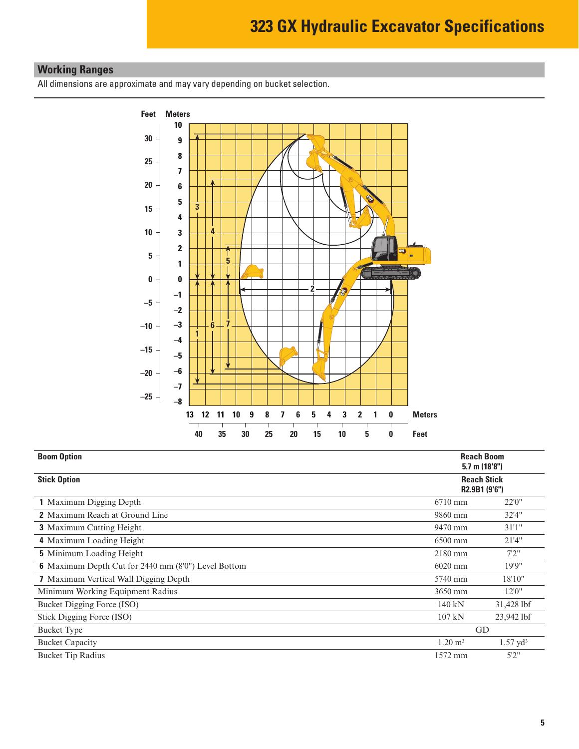# <span id="page-4-0"></span>**Working Ranges**

All dimensions are approximate and may vary depending on bucket selection.



| <b>Boom Option</b>                                         |                                     | <b>Reach Boom</b><br>$5.7$ m $(18'8'')$ |  |  |  |
|------------------------------------------------------------|-------------------------------------|-----------------------------------------|--|--|--|
| <b>Stick Option</b>                                        | <b>Reach Stick</b><br>R2.9B1 (9'6") |                                         |  |  |  |
| <b>1</b> Maximum Digging Depth                             | $6710$ mm                           | 22'0''                                  |  |  |  |
| <b>2</b> Maximum Reach at Ground Line                      | 9860 mm                             | 32'4''                                  |  |  |  |
| <b>3</b> Maximum Cutting Height                            | 9470 mm                             | 31'1''                                  |  |  |  |
| 4 Maximum Loading Height                                   | $6500$ mm                           | 21'4''                                  |  |  |  |
| <b>5</b> Minimum Loading Height                            | $2180$ mm                           | 7'2''                                   |  |  |  |
| <b>6</b> Maximum Depth Cut for 2440 mm (8'0") Level Bottom | 6020 mm                             | 19'9"                                   |  |  |  |
| <b>7</b> Maximum Vertical Wall Digging Depth               | 5740 mm                             | 18'10"                                  |  |  |  |
| Minimum Working Equipment Radius                           | 3650 mm                             | 12'0''                                  |  |  |  |
| Bucket Digging Force (ISO)                                 | 140 kN                              | 31,428 lbf                              |  |  |  |
| Stick Digging Force (ISO)                                  | 107 kN                              | 23,942 lbf                              |  |  |  |
| <b>Bucket Type</b>                                         | GD                                  |                                         |  |  |  |
| <b>Bucket Capacity</b>                                     | $1.20 \text{ m}^3$                  | $1.57 \text{ yd}^3$                     |  |  |  |
| <b>Bucket Tip Radius</b>                                   | 1572 mm                             | 5'2''                                   |  |  |  |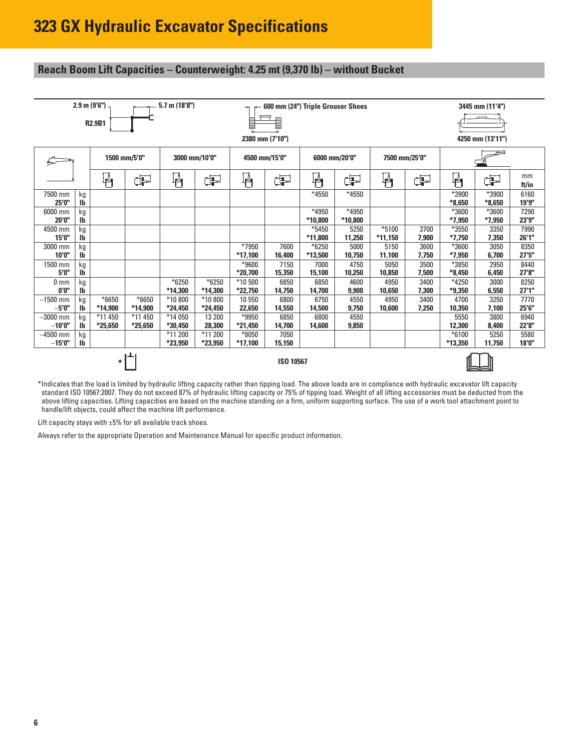# <span id="page-5-0"></span>**Reach Boom Lift Capacities – Counterweight: 4.25 mt (9,370 lb) – without Bucket**

| $2.9 \text{ m} (9'6'')$<br>$5.7$ m $(18'8'')$<br>600 mm (24") Triple Grouser Shoes<br>3445 mm (11'4")<br>⇥ |                                                |                      |                      |                      |                    |                      |                |                  |                  |                      |               |                     |                   |                |
|------------------------------------------------------------------------------------------------------------|------------------------------------------------|----------------------|----------------------|----------------------|--------------------|----------------------|----------------|------------------|------------------|----------------------|---------------|---------------------|-------------------|----------------|
| $\equiv$<br>E<br><b>R2.9B1</b><br>2380 mm (7'10")                                                          |                                                |                      |                      |                      |                    |                      |                |                  | 4250 mm (13'11") |                      |               |                     |                   |                |
| չ                                                                                                          | 1500 mm/5'0"<br>3000 mm/10'0"<br>4500 mm/15'0" |                      |                      | 6000 mm/20'0"        |                    | 7500 mm/25'0"        |                |                  |                  |                      |               |                     |                   |                |
|                                                                                                            |                                                | $\mathbb{F}_1$       | Þ                    | $\mathbf{\Psi}$      | Œ                  | կ≬<br>Ք¶             | Œ              | ╫╢               | Þ                | ¦∯                   | Œ             | 吶                   | Þ                 | mm<br>ft/in    |
| 7500 mm<br>25'0"                                                                                           | kg<br>lb                                       |                      |                      |                      |                    |                      |                | *4550            | *4550            |                      |               | *3900<br>$*8.650$   | *3900<br>$*8.650$ | 6160<br>19'9"  |
| 6000 mm<br>20'0"                                                                                           | kg<br>lb                                       |                      |                      |                      |                    |                      |                | *4950<br>*10,800 | *4950<br>*10,800 |                      |               | *3600<br>$*7,950$   | *3600<br>$*7,950$ | 7290<br>23'9"  |
| 4500 mm<br>15'0"                                                                                           | kg<br>Ib                                       |                      |                      |                      |                    |                      |                | *5450<br>*11,800 | 5250<br>11,250   | $*5100$<br>$*11,150$ | 3700<br>7,900 | *3550<br>$*7,750$   | 3350<br>7,350     | 7990<br>26'1'' |
| 3000 mm<br>10'0''                                                                                          | kg<br>lb                                       |                      |                      |                      |                    | *7950<br>$*17,100$   | 7600<br>16,400 | *6250<br>*13,500 | 5000<br>10,750   | 5150<br>11,100       | 3600<br>7,750 | *3600<br>$*7,950$   | 3050<br>6,700     | 8350<br>27'5'' |
| 1500 mm<br>5'0"                                                                                            | kg<br>Ib                                       |                      |                      |                      |                    | $*9600$<br>*20,700   | 7150<br>15,350 | 7000<br>15,100   | 4750<br>10,250   | 5050<br>10,850       | 3500<br>7,500 | *3850<br>$*8,450$   | 2950<br>6,450     | 8440<br>27'8"  |
| 0 <sub>mm</sub><br>0'0''                                                                                   | kg<br>lb                                       |                      |                      | $*6250$<br>*14.300   | $*6250$<br>*14,300 | *10 500<br>*22.750   | 6850<br>14.750 | 6850<br>14.700   | 4600<br>9,900    | 4950<br>10.650       | 3400<br>7.300 | $*4250$<br>$*9.350$ | 3000<br>6,550     | 8250<br>27'1'' |
| $-1500$ mm<br>$-5'0''$                                                                                     | kg<br>lb                                       | $*6650$<br>*14,900   | $*6650$<br>*14.900   | *10 800<br>*24,450   | *10 800<br>*24,450 | 10 550<br>22,650     | 6800<br>14,550 | 6750<br>14,500   | 4550<br>9,750    | 4950<br>10,600       | 3400<br>7.250 | 4700<br>10,350      | 3250<br>7,100     | 7770<br>25'6"  |
| $-3000$ mm<br>$-10'0''$                                                                                    | kg<br>lb                                       | *11 450<br>$*25,650$ | *11 450<br>$*25,650$ | *14 050<br>*30,450   | 13 200<br>28,300   | *9950<br>*21,450     | 6850<br>14,700 | 6800<br>14,600   | 4550<br>9,850    |                      |               | 5550<br>12,300      | 3800<br>8,400     | 6940<br>22'8"  |
| $-4500$ mm<br>$-15'0''$                                                                                    | kg<br>lb                                       |                      |                      | *11 200<br>$*23,950$ | *11 200<br>*23,950 | $*8050$<br>$*17,100$ | 7050<br>15,150 |                  |                  |                      |               | $*6100$<br>*13,350  | 5250<br>11,750    | 5580<br>18'0"  |
| ISO 10567<br>$\star$                                                                                       |                                                |                      |                      |                      |                    |                      |                |                  |                  |                      |               |                     |                   |                |

\*Indicates that the load is limited by hydraulic lifting capacity rather than tipping load. The above loads are in compliance with hydraulic excavator lift capacity standard ISO 10567:2007. They do not exceed 87% of hydraulic lifting capacity or 75% of tipping load. Weight of all lifting accessories must be deducted from the above lifting capacities. Lifting capacities are based on the machine standing on a firm, uniform supporting surface. The use of a work tool attachment point to handle/lift objects, could affect the machine lift performance.

Lift capacity stays with ±5% for all available track shoes.

Always refer to the appropriate Operation and Maintenance Manual for specific product information.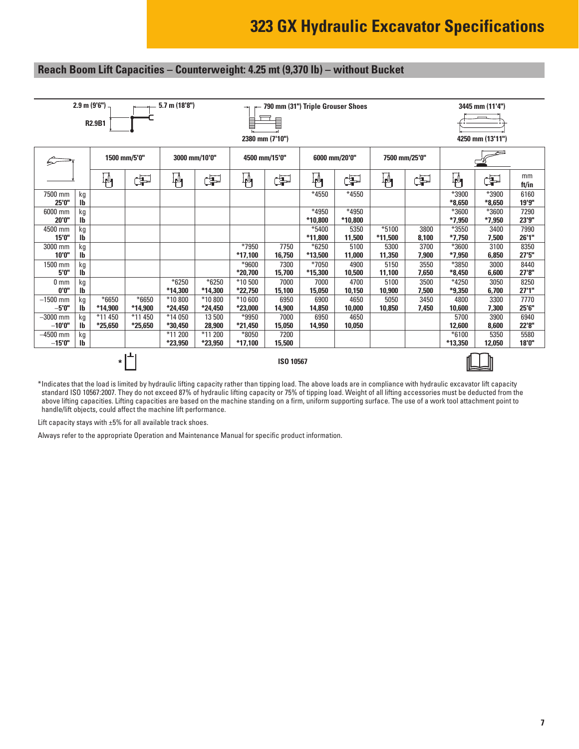#### **Reach Boom Lift Capacities – Counterweight: 4.25 mt (9,370 lb) – without Bucket**



\*Indicates that the load is limited by hydraulic lifting capacity rather than tipping load. The above loads are in compliance with hydraulic excavator lift capacity standard ISO 10567:2007. They do not exceed 87% of hydraulic lifting capacity or 75% of tipping load. Weight of all lifting accessories must be deducted from the above lifting capacities. Lifting capacities are based on the machine standing on a firm, uniform supporting surface. The use of a work tool attachment point to handle/lift objects, could affect the machine lift performance.

Lift capacity stays with  $\pm 5\%$  for all available track shoes.

Always refer to the appropriate Operation and Maintenance Manual for specific product information.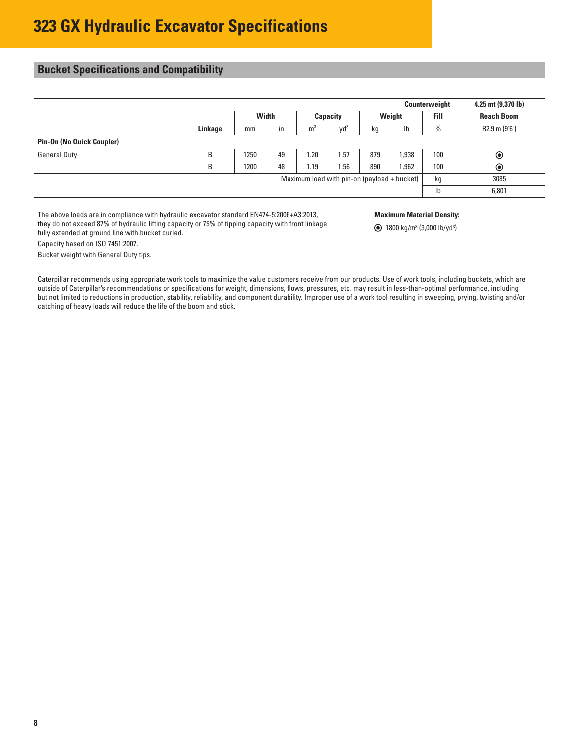## <span id="page-7-0"></span>**Bucket Specifications and Compatibility**

Capacity based on ISO 7451:2007. Bucket weight with General Duty tips.

|                                             |         |              |    |                |                 |          |      | Counterweight | 4.25 mt (9,370 lb) |      |                   |
|---------------------------------------------|---------|--------------|----|----------------|-----------------|----------|------|---------------|--------------------|------|-------------------|
|                                             |         | <b>Width</b> |    |                |                 | Capacity |      | Weight        |                    | Fill | <b>Reach Boom</b> |
|                                             | Linkage | mm           | in | m <sup>3</sup> | Vd <sup>3</sup> | kg       | Ib   | $\%$          | R2.9 m (9'6")      |      |                   |
| <b>Pin-On (No Quick Coupler)</b>            |         |              |    |                |                 |          |      |               |                    |      |                   |
| <b>General Duty</b>                         | B       | 1250         | 49 | 1.20           | 1.57            | 879      | ,938 | 100           | $\circledcirc$     |      |                   |
|                                             | B       | 1200         | 48 | 1.19           | 1.56            | 890      | .962 | 100           | $\circledcirc$     |      |                   |
| Maximum load with pin-on (payload + bucket) |         |              |    |                |                 |          | kg   | 3085          |                    |      |                   |
|                                             |         |              |    |                |                 |          |      | Ib            | 6,801              |      |                   |

The above loads are in compliance with hydraulic excavator standard EN474-5:2006+A3:2013, they do not exceed 87% of hydraulic lifting capacity or 75% of tipping capacity with front linkage fully extended at ground line with bucket curled.

**Maximum Material Density:**

1800 kg/m3 (3,000 lb/yd3)

Caterpillar recommends using appropriate work tools to maximize the value customers receive from our products. Use of work tools, including buckets, which are outside of Caterpillar's recommendations or specifications for weight, dimensions, flows, pressures, etc. may result in less-than-optimal performance, including but not limited to reductions in production, stability, reliability, and component durability. Improper use of a work tool resulting in sweeping, prying, twisting and/or catching of heavy loads will reduce the life of the boom and stick.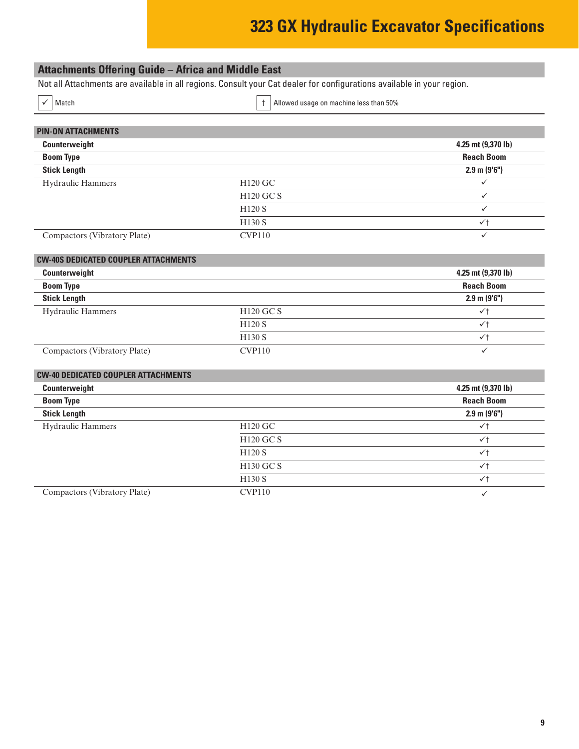# **323 GX Hydraulic Excavator Specifications**

## <span id="page-8-0"></span>**Attachments Offering Guide – Africa and Middle East**

Not all Attachments are available in all regions. Consult your Cat dealer for configurations available in your region.

 $\vert$  Match  $\vert$  Match  $\vert$  Match  $\vert$  Match  $\vert$  Match  $\vert$  Match  $\vert$  Match  $\vert$  Match  $\vert$  Match  $\vert$  Match  $\vert$  Match  $\vert$  Match  $\vert$  Match  $\vert$  Match  $\vert$  Match  $\vert$  Match  $\vert$  Match  $\vert$  Match  $\vert$  Match  $\vert$  Match

| <b>PIN-ON ATTACHMENTS</b>    |                    |                         |
|------------------------------|--------------------|-------------------------|
| Counterweight                |                    | 4.25 mt (9,370 lb)      |
| <b>Boom Type</b>             |                    | <b>Reach Boom</b>       |
| <b>Stick Length</b>          |                    | $2.9 \text{ m} (9'6'')$ |
| <b>Hydraulic Hammers</b>     | H120 GC            |                         |
|                              | <b>H120 GC S</b>   |                         |
|                              | H <sub>120</sub> S |                         |
|                              | H <sub>130</sub> S | ✓t                      |
| Compactors (Vibratory Plate) | CVP110             |                         |

#### **CW-40S DEDICATED COUPLER ATTACHMENTS**

| Counterweight                |               | 4.25 mt $(9,370 \text{ lb})$ |
|------------------------------|---------------|------------------------------|
| <b>Boom Type</b>             |               | <b>Reach Boom</b>            |
| <b>Stick Length</b>          |               | $2.9 \text{ m} (9'6'')$      |
| <b>Hydraulic Hammers</b>     | $H120$ GC S   | $\checkmark$                 |
|                              | <b>H120 S</b> | $\checkmark$                 |
|                              | <b>H130 S</b> | $\checkmark$                 |
| Compactors (Vibratory Plate) | <b>CVP110</b> |                              |

#### **CW-40 DEDICATED COUPLER ATTACHMENTS**

| Counterweight                |                  | 4.25 mt (9,370 lb)      |
|------------------------------|------------------|-------------------------|
| <b>Boom Type</b>             |                  | <b>Reach Boom</b>       |
| <b>Stick Length</b>          |                  | $2.9 \text{ m} (9'6'')$ |
| <b>Hydraulic Hammers</b>     | H120 GC          | $\checkmark$            |
|                              | <b>H120 GC S</b> | $\checkmark$            |
|                              | H120S            | $\checkmark$            |
|                              | <b>H130 GC S</b> | $\checkmark$            |
|                              | H130S            | $\checkmark$            |
| Compactors (Vibratory Plate) | CVP110           | $\checkmark$            |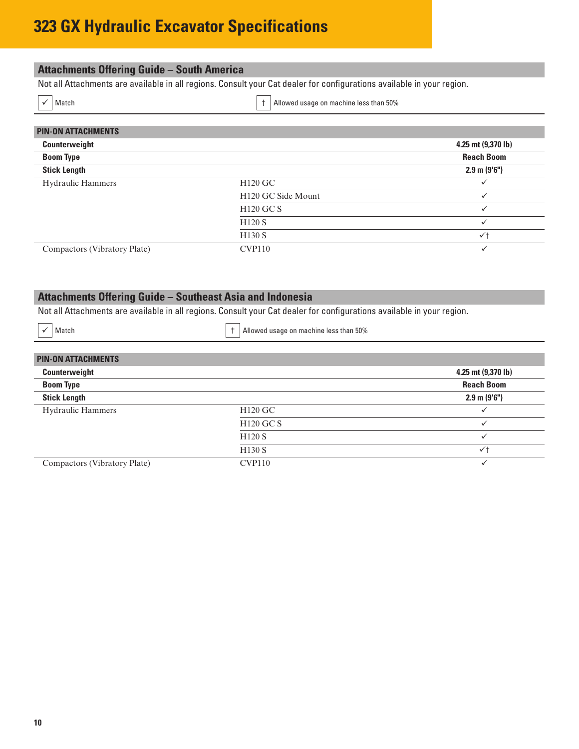# <span id="page-9-0"></span>**323 GX Hydraulic Excavator Specifications**

#### **Attachments Offering Guide – South America** Not all Attachments are available in all regions. Consult your Cat dealer for configurations available in your region.

 $\checkmark$  Match  $\checkmark$  Match  $\checkmark$  Match  $\checkmark$  Music set than 50%

| <b>PIN-ON ATTACHMENTS</b>    |                                |                    |
|------------------------------|--------------------------------|--------------------|
| Counterweight                |                                | 4.25 mt (9,370 lb) |
| <b>Boom Type</b>             |                                | <b>Reach Boom</b>  |
| <b>Stick Length</b>          |                                | $2.9$ m $(9'6'')$  |
| <b>Hydraulic Hammers</b>     | H120 GC                        |                    |
|                              | H <sub>120</sub> GC Side Mount | v                  |
|                              | <b>H120 GC S</b>               |                    |
|                              | H <sub>120</sub> S             |                    |
|                              | H <sub>130</sub> S             | $\checkmark$       |
| Compactors (Vibratory Plate) | <b>CVP110</b>                  |                    |

# **Attachments Offering Guide – Southeast Asia and Indonesia**

Not all Attachments are available in all regions. Consult your Cat dealer for configurations available in your region.

 $\checkmark$  Match  $\checkmark$  Match  $\checkmark$  Match  $\checkmark$  Match  $\checkmark$  Match  $\checkmark$ 

| <b>PIN-ON ATTACHMENTS</b>    |                     |                         |
|------------------------------|---------------------|-------------------------|
| Counterweight                |                     | 4.25 mt (9,370 lb)      |
| <b>Boom Type</b>             |                     | <b>Reach Boom</b>       |
| <b>Stick Length</b>          |                     | $2.9 \text{ m} (9'6'')$ |
| <b>Hydraulic Hammers</b>     | H <sub>120</sub> GC |                         |
|                              | <b>H120 GC S</b>    |                         |
|                              | H <sub>120</sub> S  |                         |
|                              | H <sub>130</sub> S  | $\checkmark$            |
| Compactors (Vibratory Plate) | CVP110              |                         |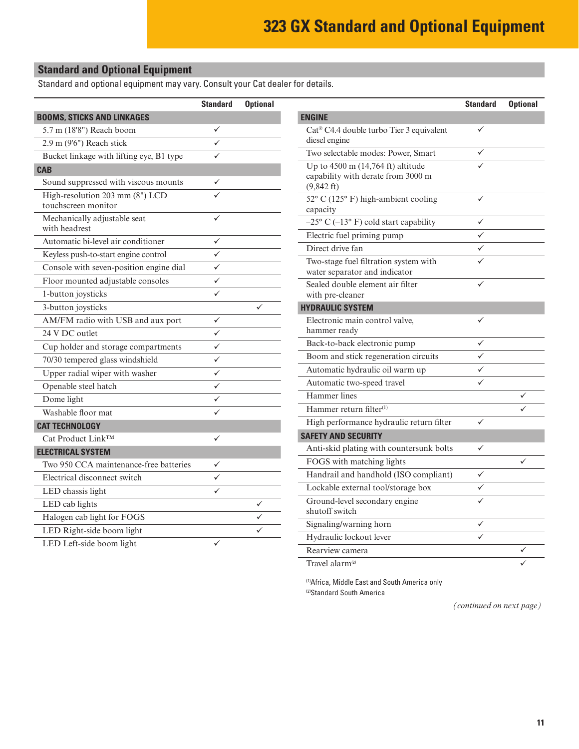## <span id="page-10-0"></span>**Standard and Optional Equipment**

Standard and optional equipment may vary. Consult your Cat dealer for details.

|                                                        | <b>Standard</b> | <b>Optional</b> |                                                            | <b>Standard</b> | <b>Optional</b> |
|--------------------------------------------------------|-----------------|-----------------|------------------------------------------------------------|-----------------|-----------------|
| <b>BOOMS, STICKS AND LINKAGES</b>                      |                 |                 | <b>ENGINE</b>                                              |                 |                 |
| 5.7 m (18'8") Reach boom                               | ✓               |                 | Cat <sup>®</sup> C4.4 double turbo Tier 3 equivalent       | ✓               |                 |
| 2.9 m (9'6") Reach stick                               | ✓               |                 | diesel engine                                              |                 |                 |
| Bucket linkage with lifting eye, B1 type               | $\checkmark$    |                 | Two selectable modes: Power, Smart                         | ✓               |                 |
| <b>CAB</b>                                             |                 |                 | Up to $4500$ m $(14,764$ ft) altitude                      | ✓               |                 |
| Sound suppressed with viscous mounts                   | $\checkmark$    |                 | capability with derate from 3000 m<br>$(9,842 \text{ ft})$ |                 |                 |
| High-resolution 203 mm (8") LCD<br>touchscreen monitor | $\checkmark$    |                 | 52° C (125° F) high-ambient cooling<br>capacity            | ✓               |                 |
| Mechanically adjustable seat                           | ✓               |                 | $-25^{\circ}$ C ( $-13^{\circ}$ F) cold start capability   | $\checkmark$    |                 |
| with headrest                                          |                 |                 | Electric fuel priming pump                                 | $\checkmark$    |                 |
| Automatic bi-level air conditioner                     | $\checkmark$    |                 | Direct drive fan                                           | ✓               |                 |
| Keyless push-to-start engine control                   | ✓               |                 | Two-stage fuel filtration system with                      | ✓               |                 |
| Console with seven-position engine dial                | ✓               |                 | water separator and indicator                              |                 |                 |
| Floor mounted adjustable consoles                      | ✓               |                 | Sealed double element air filter                           | ✓               |                 |
| 1-button joysticks                                     | $\checkmark$    |                 | with pre-cleaner                                           |                 |                 |
| 3-button joysticks                                     |                 | $\checkmark$    | <b>HYDRAULIC SYSTEM</b>                                    |                 |                 |
| AM/FM radio with USB and aux port                      | $\checkmark$    |                 | Electronic main control valve,                             | ✓               |                 |
| 24 V DC outlet                                         | $\checkmark$    |                 | hammer ready                                               | ✓               |                 |
| Cup holder and storage compartments                    | ✓               |                 | Back-to-back electronic pump                               | $\checkmark$    |                 |
| 70/30 tempered glass windshield                        | ✓               |                 | Boom and stick regeneration circuits                       |                 |                 |
| Upper radial wiper with washer                         | ✓               |                 | Automatic hydraulic oil warm up                            | $\checkmark$    |                 |
| Openable steel hatch                                   | ✓               |                 | Automatic two-speed travel                                 | $\checkmark$    |                 |
| Dome light                                             | $\checkmark$    |                 | Hammer lines                                               |                 | ✓               |
| Washable floor mat                                     | ✓               |                 | Hammer return filter <sup>(1)</sup>                        |                 |                 |
| <b>CAT TECHNOLOGY</b>                                  |                 |                 | High performance hydraulic return filter                   | $\checkmark$    |                 |
| Cat Product Link™                                      | $\checkmark$    |                 | <b>SAFETY AND SECURITY</b>                                 |                 |                 |
| <b>ELECTRICAL SYSTEM</b>                               |                 |                 | Anti-skid plating with countersunk bolts                   | $\checkmark$    |                 |
| Two 950 CCA maintenance-free batteries                 | ✓               |                 | FOGS with matching lights                                  |                 | ✓               |
| Electrical disconnect switch                           | ✓               |                 | Handrail and handhold (ISO compliant)                      | $\checkmark$    |                 |
| LED chassis light                                      | ✓               |                 | Lockable external tool/storage box                         | $\checkmark$    |                 |
| LED cab lights                                         |                 | $\checkmark$    | Ground-level secondary engine                              | ✓               |                 |
| Halogen cab light for FOGS                             |                 | ✓               | shutoff switch                                             |                 |                 |
| LED Right-side boom light                              |                 | $\checkmark$    | Signaling/warning horn                                     | ✓               |                 |
| LED Left-side boom light                               | ✓               |                 | Hydraulic lockout lever                                    | ✓               |                 |
|                                                        |                 |                 | Rearview camera                                            |                 | $\checkmark$    |

Travel alarm<sup>(2)</sup>  $\checkmark$ 

(1)Africa, Middle East and South America only (2)Standard South America

*(continued on next page)*